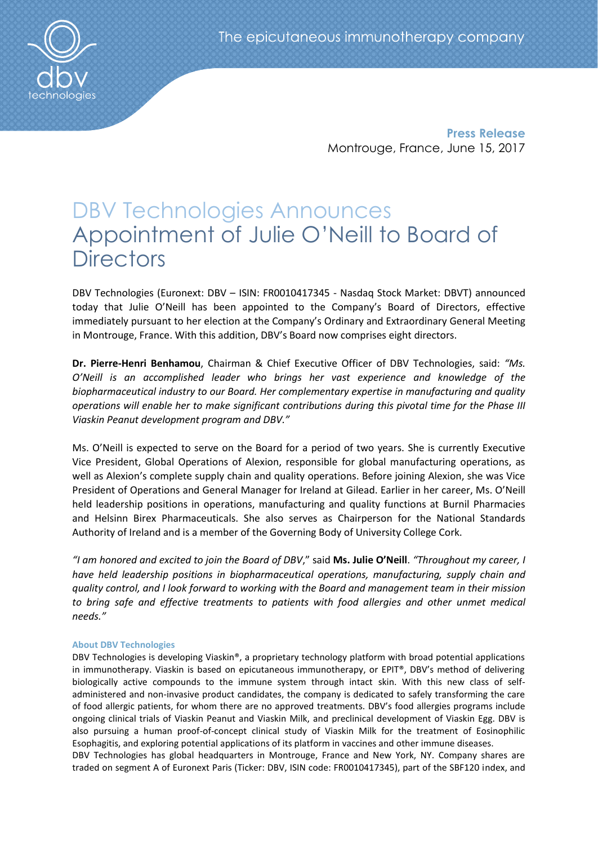**Press Release** Montrouge, France, June 15, 2017

# DBV Technologies Announces Appointment of Julie O'Neill to Board of **Directors**

DBV Technologies (Euronext: DBV – ISIN: FR0010417345 - Nasdaq Stock Market: DBVT) announced today that Julie O'Neill has been appointed to the Company's Board of Directors, effective immediately pursuant to her election at the Company's Ordinary and Extraordinary General Meeting in Montrouge, France. With this addition, DBV's Board now comprises eight directors.

**Dr. Pierre-Henri Benhamou**, Chairman & Chief Executive Officer of DBV Technologies, said: *"Ms. O'Neill is an accomplished leader who brings her vast experience and knowledge of the biopharmaceutical industry to our Board. Her complementary expertise in manufacturing and quality operations will enable her to make significant contributions during this pivotal time for the Phase III Viaskin Peanut development program and DBV."*

Ms. O'Neill is expected to serve on the Board for a period of two years. She is currently Executive Vice President, Global Operations of Alexion, responsible for global manufacturing operations, as well as Alexion's complete supply chain and quality operations. Before joining Alexion, she was Vice President of Operations and General Manager for Ireland at Gilead. Earlier in her career, Ms. O'Neill held leadership positions in operations, manufacturing and quality functions at Burnil Pharmacies and Helsinn Birex Pharmaceuticals. She also serves as Chairperson for the National Standards Authority of Ireland and is a member of the Governing Body of University College Cork.

*"I am honored and excited to join the Board of DBV*," said **Ms. Julie O'Neill**. *"Throughout my career, I have held leadership positions in biopharmaceutical operations, manufacturing, supply chain and quality control, and I look forward to working with the Board and management team in their mission to bring safe and effective treatments to patients with food allergies and other unmet medical needs."*

# **About DBV Technologies**

DBV Technologies is developing Viaskin®, a proprietary technology platform with broad potential applications in immunotherapy. Viaskin is based on epicutaneous immunotherapy, or EPIT®, DBV's method of delivering biologically active compounds to the immune system through intact skin. With this new class of selfadministered and non-invasive product candidates, the company is dedicated to safely transforming the care of food allergic patients, for whom there are no approved treatments. DBV's food allergies programs include ongoing clinical trials of Viaskin Peanut and Viaskin Milk, and preclinical development of Viaskin Egg. DBV is also pursuing a human proof-of-concept clinical study of Viaskin Milk for the treatment of Eosinophilic Esophagitis, and exploring potential applications of its platform in vaccines and other immune diseases.

DBV Technologies has global headquarters in Montrouge, France and New York, NY. Company shares are traded on segment A of Euronext Paris (Ticker: DBV, ISIN code: FR0010417345), part of the SBF120 index, and